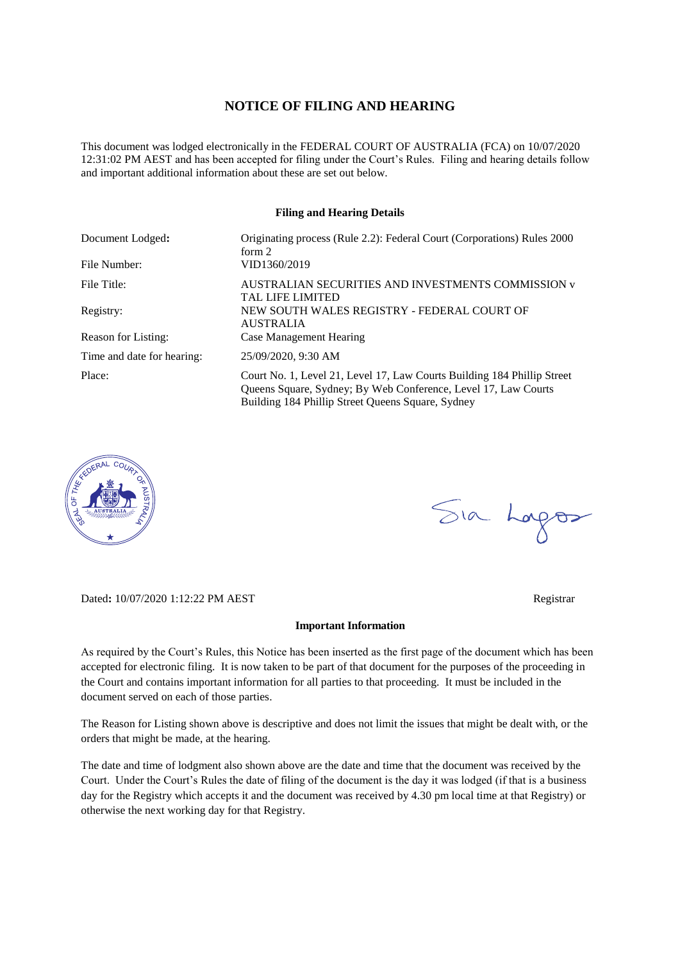## **NOTICE OF FILING AND HEARING**

This document was lodged electronically in the FEDERAL COURT OF AUSTRALIA (FCA) on 10/07/2020 12:31:02 PM AEST and has been accepted for filing under the Court's Rules. Filing and hearing details follow and important additional information about these are set out below.

#### **Filing and Hearing Details**

| Document Lodged:<br>File Number: | Originating process (Rule 2.2): Federal Court (Corporations) Rules 2000<br>form 2<br>VID1360/2019                                                                                              |
|----------------------------------|------------------------------------------------------------------------------------------------------------------------------------------------------------------------------------------------|
| File Title:                      | AUSTRALIAN SECURITIES AND INVESTMENTS COMMISSION v                                                                                                                                             |
|                                  | <b>TAL LIFE LIMITED</b>                                                                                                                                                                        |
| Registry:                        | NEW SOUTH WALES REGISTRY - FEDERAL COURT OF                                                                                                                                                    |
| Reason for Listing:              | <b>AUSTRALIA</b><br>Case Management Hearing                                                                                                                                                    |
| Time and date for hearing:       | 25/09/2020, 9:30 AM                                                                                                                                                                            |
| Place:                           | Court No. 1, Level 21, Level 17, Law Courts Building 184 Phillip Street<br>Queens Square, Sydney; By Web Conference, Level 17, Law Courts<br>Building 184 Phillip Street Queens Square, Sydney |



Dated**:** 10/07/2020 1:12:22 PM AEST Registrar

# Sia Logos

**Important Information** 

As required by the Court's Rules, this Notice has been inserted as the first page of the document which has been accepted for electronic filing. It is now taken to be part of that document for the purposes of the proceeding in the Court and contains important information for all parties to that proceeding. It must be included in the document served on each of those parties.

The Reason for Listing shown above is descriptive and does not limit the issues that might be dealt with, or the orders that might be made, at the hearing.

The date and time of lodgment also shown above are the date and time that the document was received by the Court. Under the Court's Rules the date of filing of the document is the day it was lodged (if that is a business day for the Registry which accepts it and the document was received by 4.30 pm local time at that Registry) or otherwise the next working day for that Registry.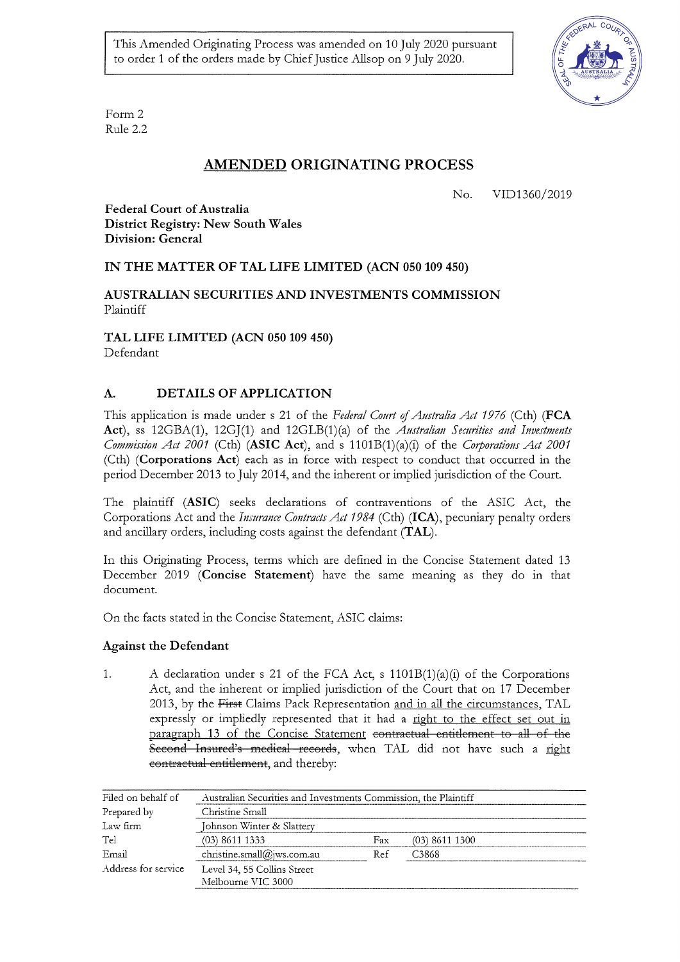This Amended Originating Process was amended on 10 July 2020 pursuant to order 1 of the orders made by Chief Justice Allsop on 9 July 2020.



Form 2 Rule 2.2

# **AMENDED ORIGINATING PROCESS**

No. VID1360/2019

**Federal Court of Australia District Registry: New South Wales** Division: General

# IN THE MATTER OF TAL LIFE LIMITED (ACN 050 109 450)

## AUSTRALIAN SECURITIES AND INVESTMENTS COMMISSION Plaintiff

TAL LIFE LIMITED (ACN 050 109 450)

Defendant

#### DETAILS OF APPLICATION A.

This application is made under s 21 of the Federal Court of Australia Act 1976 (Cth) (FCA Act), ss 12GBA(1), 12GJ(1) and 12GLB(1)(a) of the Australian Securities and Investments Commission Act 2001 (Cth) (ASIC Act), and s 1101B(1)(a)(i) of the Corporations Act 2001 (Cth) (Corporations Act) each as in force with respect to conduct that occurred in the period December 2013 to July 2014, and the inherent or implied jurisdiction of the Court.

The plaintiff (ASIC) seeks declarations of contraventions of the ASIC Act, the Corporations Act and the *Insurance Contracts Act 1984* (Cth) (ICA), pecuniary penalty orders and ancillary orders, including costs against the defendant (TAL).

In this Originating Process, terms which are defined in the Concise Statement dated 13 December 2019 (Concise Statement) have the same meaning as they do in that document.

On the facts stated in the Concise Statement, ASIC claims:

# **Against the Defendant**

A declaration under s 21 of the FCA Act, s 1101B(1)(a)(i) of the Corporations 1. Act, and the inherent or implied jurisdiction of the Court that on 17 December 2013, by the First Claims Pack Representation and in all the circumstances, TAL expressly or impliedly represented that it had a right to the effect set out in paragraph 13 of the Concise Statement contractual entitlement to all of the Second Insured's medical records, when TAL did not have such a right contractual entitlement, and thereby:

| Filed on behalf of  | Australian Securities and Investments Commission, the Plaintiff |     |                  |  |  |
|---------------------|-----------------------------------------------------------------|-----|------------------|--|--|
| Prepared by         | Christine Small                                                 |     |                  |  |  |
| Law firm            | Johnson Winter & Slattery                                       |     |                  |  |  |
| Tel                 | $(03)$ 8611 1333                                                | Fax | $(03)$ 8611 1300 |  |  |
| Email               | christine.small@jws.com.au                                      | Ref | C3868            |  |  |
| Address for service | Level 34, 55 Collins Street<br>Melbourne VIC 3000               |     |                  |  |  |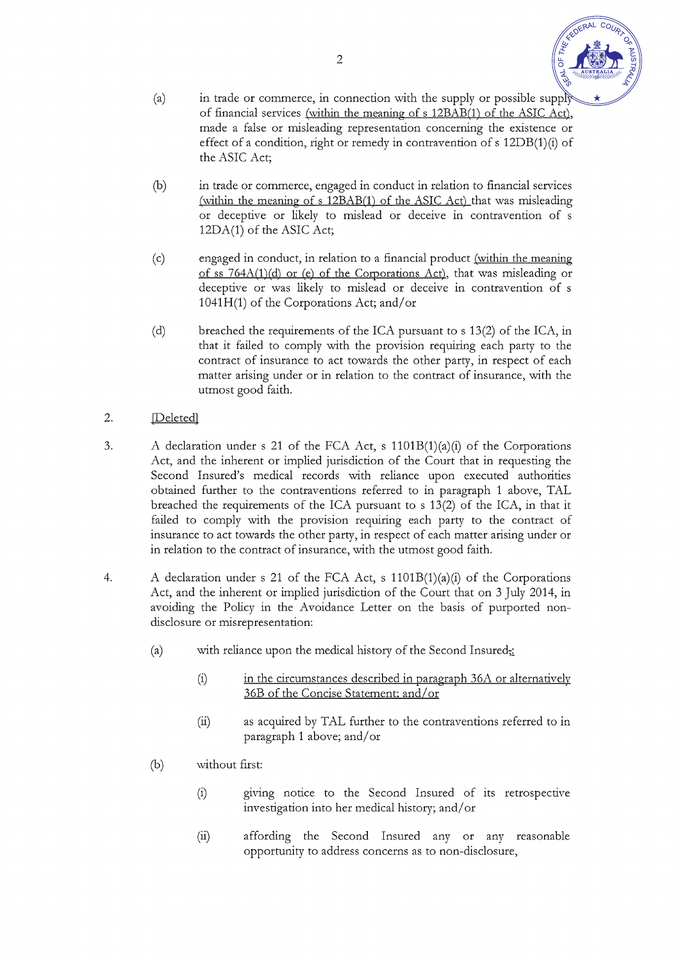- 
- in trade or commerce, in connection with the supply or possible supply  $(a)$ of financial services (within the meaning of s 12BAB(1) of the ASIC Act), made a false or misleading representation concerning the existence or effect of a condition, right or remedy in contravention of s 12DB(1)(i) of the ASIC Act;
- $(b)$ in trade or commerce, engaged in conduct in relation to financial services (within the meaning of s 12BAB(1) of the ASIC Act) that was misleading or deceptive or likely to mislead or deceive in contravention of s 12DA(1) of the ASIC Act;
- $(c)$ engaged in conduct, in relation to a financial product (within the meaning of ss 764A(1)(d) or (e) of the Corporations Act), that was misleading or deceptive or was likely to mislead or deceive in contravention of s 1041H(1) of the Corporations Act; and/or
- breached the requirements of the ICA pursuant to s 13(2) of the ICA, in  $(d)$ that it failed to comply with the provision requiring each party to the contract of insurance to act towards the other party, in respect of each matter arising under or in relation to the contract of insurance, with the utmost good faith.
- $2.$ **Deleted**
- A declaration under s 21 of the FCA Act, s  $1101B(1)(a)(i)$  of the Corporations 3. Act, and the inherent or implied jurisdiction of the Court that in requesting the Second Insured's medical records with reliance upon executed authorities obtained further to the contraventions referred to in paragraph 1 above, TAL breached the requirements of the ICA pursuant to s 13(2) of the ICA, in that it failed to comply with the provision requiring each party to the contract of insurance to act towards the other party, in respect of each matter arising under or in relation to the contract of insurance, with the utmost good faith.
- A declaration under s 21 of the FCA Act, s  $1101B(1)(a)(i)$  of the Corporations  $\overline{4}$ . Act, and the inherent or implied jurisdiction of the Court that on 3 July 2014, in avoiding the Policy in the Avoidance Letter on the basis of purported nondisclosure or misrepresentation:
	- $(a)$ with reliance upon the medical history of the Second Insured;
		- in the circumstances described in paragraph 36A or alternatively  $(i)$ 36B of the Concise Statement; and/or
		- as acquired by TAL further to the contraventions referred to in  $(ii)$ paragraph 1 above; and/or
	- $(b)$ without first:
		- $(i)$ giving notice to the Second Insured of its retrospective investigation into her medical history; and/or
		- affording the Second Insured any or any reasonable  $(ii)$ opportunity to address concerns as to non-disclosure,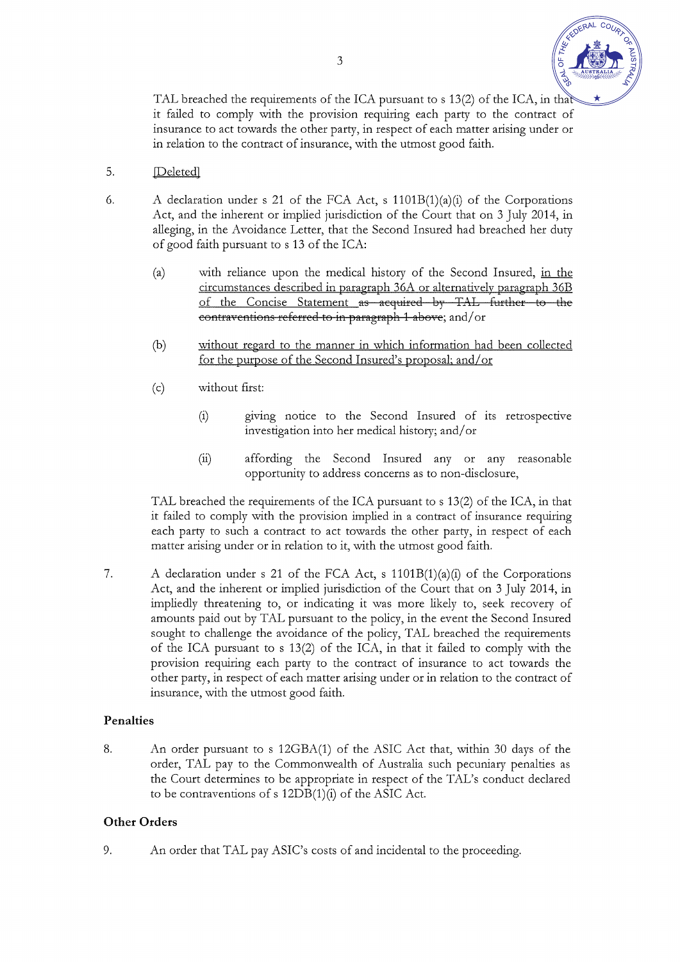

TAL breached the requirements of the ICA pursuant to s 13(2) of the ICA, in that it failed to comply with the provision requiring each party to the contract of insurance to act towards the other party, in respect of each matter arising under or in relation to the contract of insurance, with the utmost good faith.

- 5. **Deletedl**
- A declaration under s 21 of the FCA Act, s 1101B(1)(a)(i) of the Corporations 6. Act, and the inherent or implied jurisdiction of the Court that on 3 July 2014, in alleging, in the Avoidance Letter, that the Second Insured had breached her duty of good faith pursuant to s 13 of the ICA:
	- with reliance upon the medical history of the Second Insured, in the  $(a)$ circumstances described in paragraph 36A or alternatively paragraph 36B of the Concise Statement as acquired by TAL further to the contraventions referred to in paragraph 1 above; and/or
	- without regard to the manner in which information had been collected  $(b)$ for the purpose of the Second Insured's proposal; and/or
	- without first:  $(c)$ 
		- $(i)$ giving notice to the Second Insured of its retrospective investigation into her medical history; and/or
		- $(ii)$ affording the Second Insured any or any reasonable opportunity to address concerns as to non-disclosure,

TAL breached the requirements of the ICA pursuant to s 13(2) of the ICA, in that it failed to comply with the provision implied in a contract of insurance requiring each party to such a contract to act towards the other party, in respect of each matter arising under or in relation to it, with the utmost good faith.

A declaration under s 21 of the FCA Act, s  $1101B(1)(a)(i)$  of the Corporations 7. Act, and the inherent or implied jurisdiction of the Court that on 3 July 2014, in impliedly threatening to, or indicating it was more likely to, seek recovery of amounts paid out by TAL pursuant to the policy, in the event the Second Insured sought to challenge the avoidance of the policy, TAL breached the requirements of the ICA pursuant to s 13(2) of the ICA, in that it failed to comply with the provision requiring each party to the contract of insurance to act towards the other party, in respect of each matter arising under or in relation to the contract of insurance, with the utmost good faith.

## Penalties

An order pursuant to s 12GBA(1) of the ASIC Act that, within 30 days of the 8. order, TAL pay to the Commonwealth of Australia such pecuniary penalties as the Court determines to be appropriate in respect of the TAL's conduct declared to be contraventions of s 12DB(1)(i) of the ASIC Act.

# **Other Orders**

9. An order that TAL pay ASIC's costs of and incidental to the proceeding.